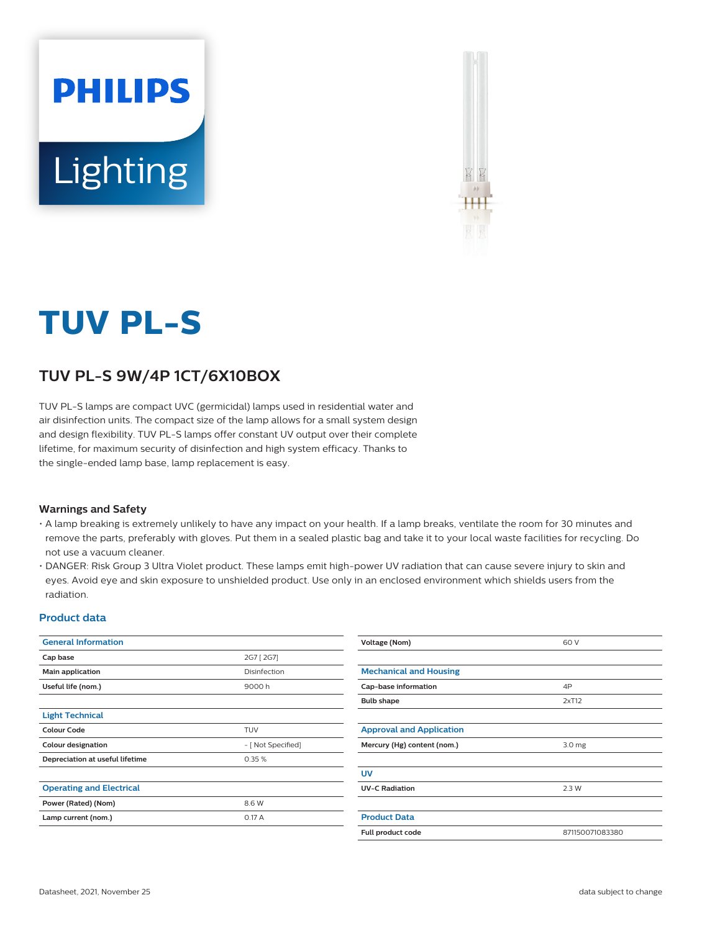



# **TUV PL-S**

## **TUV PL-S 9W/4P 1CT/6X10BOX**

TUV PL-S lamps are compact UVC (germicidal) lamps used in residential water and air disinfection units. The compact size of the lamp allows for a small system design and design flexibility. TUV PL-S lamps offer constant UV output over their complete lifetime, for maximum security of disinfection and high system efficacy. Thanks to the single-ended lamp base, lamp replacement is easy.

#### **Warnings and Safety**

- A lamp breaking is extremely unlikely to have any impact on your health. If a lamp breaks, ventilate the room for 30 minutes and remove the parts, preferably with gloves. Put them in a sealed plastic bag and take it to your local waste facilities for recycling. Do not use a vacuum cleaner.
- DANGER: Risk Group 3 Ultra Violet product. These lamps emit high-power UV radiation that can cause severe injury to skin and eyes. Avoid eye and skin exposure to unshielded product. Use only in an enclosed environment which shields users from the radiation.

#### **Product data**

| <b>General Information</b>      |                    | <b>Voltage (Nom)</b>                             | 60 V            |
|---------------------------------|--------------------|--------------------------------------------------|-----------------|
| Cap base                        | 2G7 [ 2G7]         |                                                  |                 |
| Main application                | Disinfection       | <b>Mechanical and Housing</b>                    |                 |
| Useful life (nom.)              | 9000h              | Cap-base information                             | 4P              |
|                                 |                    | <b>Bulb shape</b>                                | 2xT12           |
| <b>Light Technical</b>          |                    |                                                  |                 |
| <b>Colour Code</b>              | <b>TUV</b>         | <b>Approval and Application</b>                  |                 |
| <b>Colour designation</b>       | - [ Not Specified] | Mercury (Hg) content (nom.)<br>3.0 <sub>mg</sub> |                 |
| Depreciation at useful lifetime | 0.35%              |                                                  |                 |
|                                 |                    | <b>UV</b>                                        |                 |
| <b>Operating and Electrical</b> |                    | <b>UV-C Radiation</b>                            | 2.3W            |
| Power (Rated) (Nom)             | 8.6 W              |                                                  |                 |
| Lamp current (nom.)             | 0.17 A             | <b>Product Data</b>                              |                 |
|                                 |                    | Full product code                                | 871150071083380 |